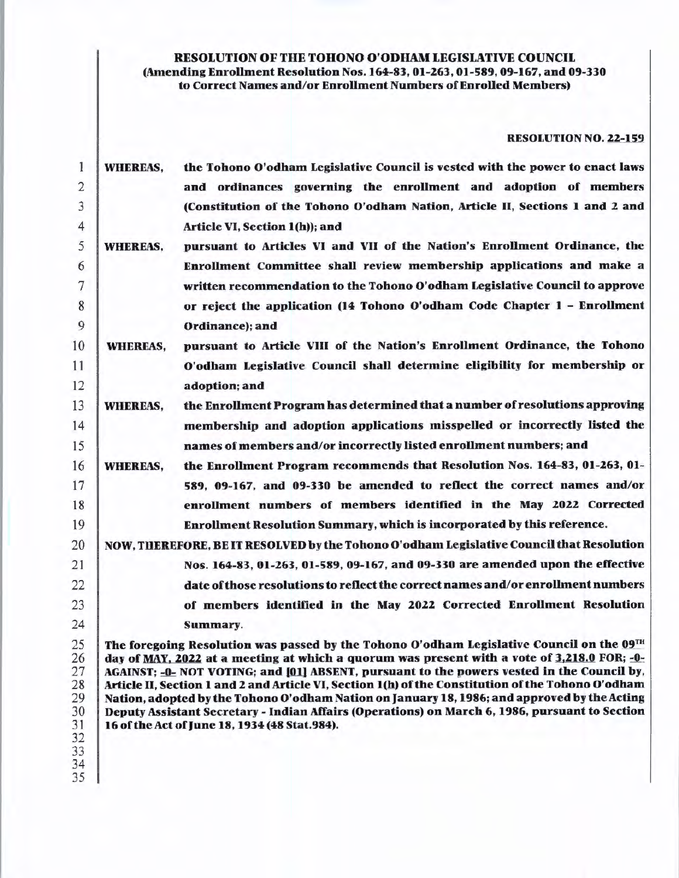## RESOLUTION OF THE TOHONO O'ODHAM LEGISLATIVE COUNCIL (Amending Enrollment Resolution Nos.164-83, 01-263, 01-589, 09-167, and 09-330 to Correct Names and/or Enrollment Numbers of Enrolled Members)

#### RESOLUTION NO. 22-159

| 1                                                  | <b>WHEREAS,</b> | the Tohono O'odham Legislative Council is vested with the power to enact laws                                                                                                                                                                                                                                                                                                                                                                                                                                                                                                                                                                   |
|----------------------------------------------------|-----------------|-------------------------------------------------------------------------------------------------------------------------------------------------------------------------------------------------------------------------------------------------------------------------------------------------------------------------------------------------------------------------------------------------------------------------------------------------------------------------------------------------------------------------------------------------------------------------------------------------------------------------------------------------|
| $\overline{2}$                                     |                 | and ordinances governing the enrollment and adoption of members                                                                                                                                                                                                                                                                                                                                                                                                                                                                                                                                                                                 |
| 3                                                  |                 | (Constitution of the Tohono O'odham Nation, Article II, Sections 1 and 2 and                                                                                                                                                                                                                                                                                                                                                                                                                                                                                                                                                                    |
| $\overline{\mathcal{A}}$                           |                 | Article VI, Section 1(h)); and                                                                                                                                                                                                                                                                                                                                                                                                                                                                                                                                                                                                                  |
| 5                                                  | <b>WHEREAS,</b> | pursuant to Articles VI and VII of the Nation's Enrollment Ordinance, the                                                                                                                                                                                                                                                                                                                                                                                                                                                                                                                                                                       |
| 6                                                  |                 | Enrollment Committee shall review membership applications and make a                                                                                                                                                                                                                                                                                                                                                                                                                                                                                                                                                                            |
| 7                                                  |                 | written recommendation to the Tohono O'odham Legislative Council to approve                                                                                                                                                                                                                                                                                                                                                                                                                                                                                                                                                                     |
| 8                                                  |                 | or reject the application (14 Tohono O'odham Code Chapter 1 - Enrollment                                                                                                                                                                                                                                                                                                                                                                                                                                                                                                                                                                        |
| 9                                                  |                 | Ordinance); and                                                                                                                                                                                                                                                                                                                                                                                                                                                                                                                                                                                                                                 |
| 10                                                 | <b>WHEREAS,</b> | pursuant to Article VIII of the Nation's Enrollment Ordinance, the Tohono                                                                                                                                                                                                                                                                                                                                                                                                                                                                                                                                                                       |
| 11                                                 |                 | O'odham Legislative Council shall determine eligibility for membership or                                                                                                                                                                                                                                                                                                                                                                                                                                                                                                                                                                       |
| 12                                                 |                 | adoption; and                                                                                                                                                                                                                                                                                                                                                                                                                                                                                                                                                                                                                                   |
| 13                                                 | <b>WHEREAS,</b> | the Enrollment Program has determined that a number of resolutions approving                                                                                                                                                                                                                                                                                                                                                                                                                                                                                                                                                                    |
| 14                                                 |                 | membership and adoption applications misspelled or incorrectly listed the                                                                                                                                                                                                                                                                                                                                                                                                                                                                                                                                                                       |
| 15                                                 |                 | names of members and/or incorrectly listed enrollment numbers; and                                                                                                                                                                                                                                                                                                                                                                                                                                                                                                                                                                              |
| 16                                                 | <b>WHEREAS,</b> | the Enrollment Program recommends that Resolution Nos. 164-83, 01-263, 01-                                                                                                                                                                                                                                                                                                                                                                                                                                                                                                                                                                      |
| 17                                                 |                 | 589, 09-167, and 09-330 be amended to reflect the correct names and/or                                                                                                                                                                                                                                                                                                                                                                                                                                                                                                                                                                          |
| 18                                                 |                 | enrollment numbers of members identified in the May 2022 Corrected                                                                                                                                                                                                                                                                                                                                                                                                                                                                                                                                                                              |
| 19                                                 |                 | Enrollment Resolution Summary, which is incorporated by this reference.                                                                                                                                                                                                                                                                                                                                                                                                                                                                                                                                                                         |
| 20                                                 |                 | NOW, THEREFORE, BE IT RESOLVED by the Tohono O'odham Legislative Council that Resolution                                                                                                                                                                                                                                                                                                                                                                                                                                                                                                                                                        |
| 21                                                 |                 | Nos. 164-83, 01-263, 01-589, 09-167, and 09-330 are amended upon the effective                                                                                                                                                                                                                                                                                                                                                                                                                                                                                                                                                                  |
| 22                                                 |                 | date of those resolutions to reflect the correct names and/or enrollment numbers                                                                                                                                                                                                                                                                                                                                                                                                                                                                                                                                                                |
| 23                                                 |                 | of members identified in the May 2022 Corrected Enrollment Resolution                                                                                                                                                                                                                                                                                                                                                                                                                                                                                                                                                                           |
| 24                                                 |                 | Summary.                                                                                                                                                                                                                                                                                                                                                                                                                                                                                                                                                                                                                                        |
| 25<br>26<br>27<br>28<br>29<br>30<br>31<br>32<br>33 |                 | The foregoing Resolution was passed by the Tohono O'odham Legislative Council on the 09TH<br>day of MAY, 2022 at a meeting at which a quorum was present with a vote of 3,218.0 FOR; -0-<br>AGAINST; -0- NOT VOTING; and [01] ABSENT, pursuant to the powers vested in the Council by,<br>Article II, Section 1 and 2 and Article VI, Section 1(h) of the Constitution of the Tohono O'odham<br>Nation, adopted by the Tohono O'odham Nation on January 18, 1986; and approved by the Acting<br>Deputy Assistant Secretary - Indian Affairs (Operations) on March 6, 1986, pursuant to Section<br>16 of the Act of June 18, 1934 (48 Stat.984). |
| 34                                                 |                 |                                                                                                                                                                                                                                                                                                                                                                                                                                                                                                                                                                                                                                                 |

35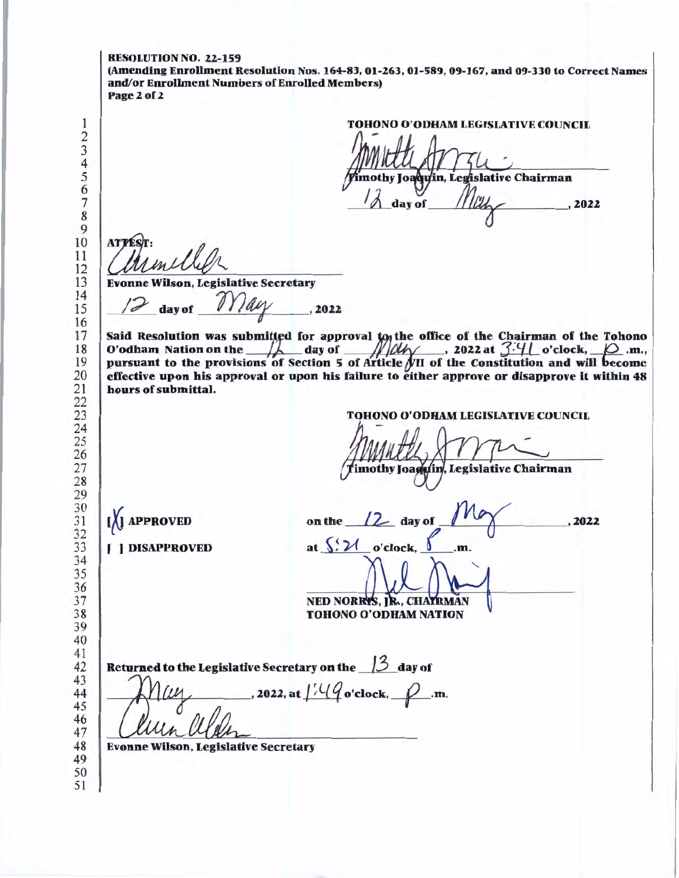RESOLUTION NO. 22-159 (Amending Enrollment Resolution Nos. 164-83, 01-263, 01-589, 09-167, and 09-330 to Correct Names and/or Enrollment Numbers of Enrolled Members) Page 2 of 2 I TOHONO O'ODHAM LEGISLATIVE COUNCIL mothy Joaquin, Legislative Chairman day of  $, 2022$  **ATTES**  Evonne Wilson, Legislative Secretary  $div of$   $\ell Y$   $\ell \ell \ell \ell$  . 2022 Said Resolution was submitted for approval to the office of the Chairman of the Tohono O'odham Nation on the *//*<sub>/</sub> day of *///////* ..., 2022 at  $\frac{3.4}{1.0}$  o'clock, *\Q\_* .m., pursuant to the provisions of Section 5 of Article  $\oint$ II of the Constitution and will become effective upon his approval or upon his failure to either approve or disapprove it within 48 hours of submittal. TOHONO O'ODHAM LEGISIATIVE COUNCIL imothy Joaguin, Legislative Chairman on the  $/2$  day of I JAPPROVED , 2022 at  $\S 2$  o'clock,  $\ell$  .m. ( ] DISAPPROVED NED NORRYS, JR., CHATRMAN TOHONO O'ODHAM NATION Returned to the Legislative Secretary on the */3* day of  $\ldots$ , 2022, at  $\frac{1}{4}$  ( $\frac{1}{4}$ o'clock,  $\ldots$  .m. Evonne Wilson, Legislative Secretary